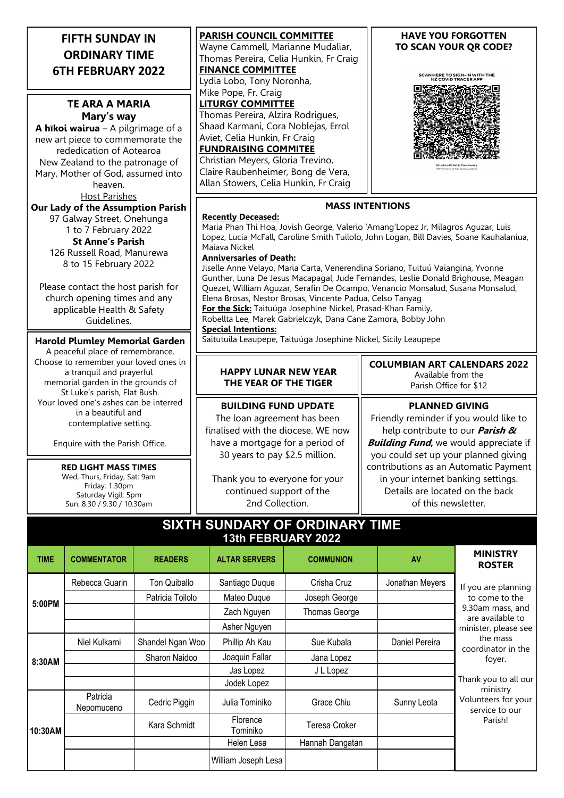| <b>FIFTH SUNDAY IN</b>   |  |
|--------------------------|--|
| <b>ORDINARY TIME</b>     |  |
| <b>6TH FEBRUARY 2022</b> |  |

## **TE ARA A MARIA Mary's way**

**A hīkoi wairua** – A pilgrimage of a new art piece to commemorate the rededication of Aotearoa New Zealand to the patronage of Mary, Mother of God, assumed into heaven.

Host Parishes

**Our Lady of the Assumption Parish** 97 Galway Street, Onehunga 1 to 7 February 2022 **St Anne's Parish** 126 Russell Road, Manurewa 8 to 15 February 2022

Please contact the host parish for church opening times and any applicable Health & Safety Guidelines.

## **Harold Plumley Memorial Garden**

A peaceful place of remembrance. Choose to remember your loved ones in a tranquil and prayerful memorial garden in the grounds of St Luke's parish, Flat Bush. Your loved one's ashes can be interred in a beautiful and contemplative setting.

Enquire with the Parish Office.

**RED LIGHT MASS TIMES** Wed, Thurs, Friday, Sat: 9am Friday: 1.30pm Saturday Vigil: 5pm Sun: 8.30 / 9.30 / 10.30am

**PARISH COUNCIL COMMITTEE** Wayne Cammell, Marianne Mudaliar, Thomas Pereira, Celia Hunkin, Fr Craig **FINANCE COMMITTEE** Lydia Lobo, Tony Noronha, Mike Pope, Fr. Craig **LITURGY COMMITTEE** Thomas Pereira, Alzira Rodrigues, Shaad Karmani, Cora Noblejas, Errol Aviet, Celia Hunkin, Fr Craig **FUNDRAISING COMMITEE**

Christian Meyers, Gloria Trevino, Claire Raubenheimer, Bong de Vera, Allan Stowers, Celia Hunkin, Fr Craig

### **HAVE YOU FORGOTTEN TO SCAN YOUR QR CODE?**

SCAN HERE TO SIGN-IN WITH THE<br>NZ COVID TRACER APP



**MASS INTENTIONS**

### **Recently Deceased:**

Maria Phan Thi Hoa, Jovish George, Valerio 'Amang'Lopez Jr, Milagros Aguzar, Luis Lopez, Lucia McFall, Caroline Smith Tuilolo, John Logan, Bill Davies, Soane Kauhalaniua, Maiava Nickel

### **Anniversaries of Death:**

Jiselle Anne Velayo, Maria Carta, Venerendina Soriano, Tuituú Vaiangina, Yvonne Gunther, Luna De Jesus Macapagal, Jude Fernandes, Leslie Donald Brighouse, Meagan Quezet, William Aguzar, Serafin De Ocampo, Venancio Monsalud, Susana Monsalud, Elena Brosas, Nestor Brosas, Vincente Padua, Celso Tanyag **For the Sick:** Taituúga Josephine Nickel, Prasad-Khan Family, Robellta Lee, Marek Gabrielczyk, Dana Cane Zamora, Bobby John

**Special Intentions:**

Saitutuila Leaupepe, Taituúga Josephine Nickel, Sicily Leaupepe

### **HAPPY LUNAR NEW YEAR THE YEAR OF THE TIGER**

**BUILDING FUND UPDATE**

The loan agreement has been finalised with the diocese. WE now have a mortgage for a period of 30 years to pay \$2.5 million.

Thank you to everyone for your continued support of the 2nd Collection.

#### **COLUMBIAN ART CALENDARS 2022** Available from the Parish Office for \$12

## **PLANNED GIVING**

Friendly reminder if you would like to help contribute to our **Parish & Building Fund,** we would appreciate if you could set up your planned giving contributions as an Automatic Payment in your internet banking settings. Details are located on the back of this newsletter.

## **SIXTH SUNDARY OF ORDINARY TIME 13th FEBRUARY 2022**

| <b>TIME</b> | <b>COMMENTATOR</b>     | <b>READERS</b>   | <b>ALTAR SERVERS</b> | <b>COMMUNION</b>     | AV              | <b>MINISTRY</b><br><b>ROSTER</b>                                                                                                                                                                                                          |
|-------------|------------------------|------------------|----------------------|----------------------|-----------------|-------------------------------------------------------------------------------------------------------------------------------------------------------------------------------------------------------------------------------------------|
| 5:00PM      | Rebecca Guarin         | Ton Quiballo     | Santiago Duque       | Crisha Cruz          | Jonathan Meyers | If you are planning<br>to come to the<br>9.30am mass, and<br>are available to<br>minister, please see<br>the mass<br>coordinator in the<br>foyer.<br>Thank you to all our<br>ministry<br>Volunteers for your<br>service to our<br>Parish! |
|             |                        | Patricia Toilolo | Mateo Duque          | Joseph George        |                 |                                                                                                                                                                                                                                           |
|             |                        |                  | Zach Nguyen          | <b>Thomas George</b> |                 |                                                                                                                                                                                                                                           |
|             |                        |                  | Asher Nguyen         |                      |                 |                                                                                                                                                                                                                                           |
| 8:30AM      | Niel Kulkarni          | Shandel Ngan Woo | Phillip Ah Kau       | Sue Kubala           | Daniel Pereira  |                                                                                                                                                                                                                                           |
|             |                        | Sharon Naidoo    | Joaquin Fallar       | Jana Lopez           |                 |                                                                                                                                                                                                                                           |
|             |                        |                  | Jas Lopez            | J L Lopez            |                 |                                                                                                                                                                                                                                           |
|             |                        |                  | Jodek Lopez          |                      |                 |                                                                                                                                                                                                                                           |
| 10:30AM     | Patricia<br>Nepomuceno | Cedric Piggin    | Julia Tominiko       | Grace Chiu           | Sunny Leota     |                                                                                                                                                                                                                                           |
|             |                        | Kara Schmidt     | Florence<br>Tominiko | Teresa Croker        |                 |                                                                                                                                                                                                                                           |
|             |                        |                  | Helen Lesa           | Hannah Dangatan      |                 |                                                                                                                                                                                                                                           |
|             |                        |                  | William Joseph Lesa  |                      |                 |                                                                                                                                                                                                                                           |